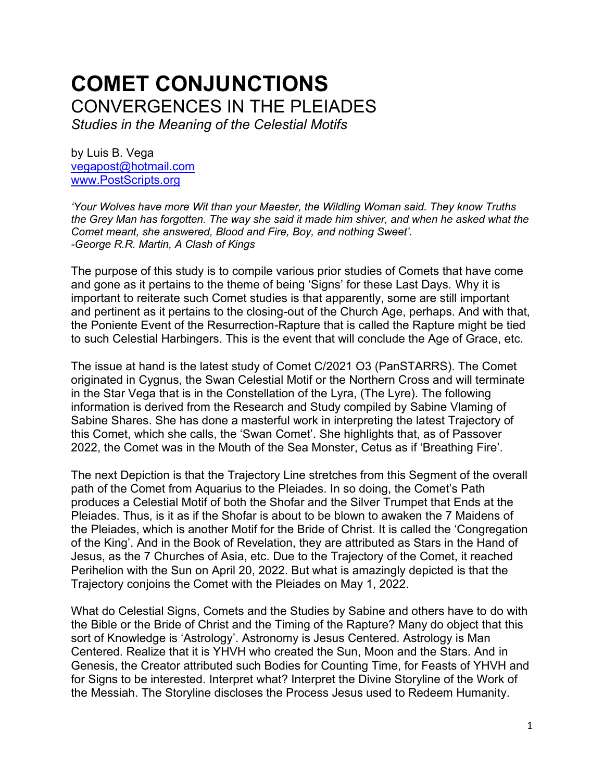# **COMET CONJUNCTIONS** CONVERGENCES IN THE PLEIADES

*Studies in the Meaning of the Celestial Motifs*

by Luis B. Vega [vegapost@hotmail.com](mailto:vegapost@hotmail.com) [www.PostScripts.org](http://www.postscripts.org/)

*'Your Wolves have more Wit than your Maester, the Wildling Woman said. They know Truths the Grey Man has forgotten. The way she said it made him shiver, and when he asked what the Comet meant, she answered, Blood and Fire, Boy, and nothing Sweet'. -George R.R. Martin, A Clash of Kings*

The purpose of this study is to compile various prior studies of Comets that have come and gone as it pertains to the theme of being 'Signs' for these Last Days. Why it is important to reiterate such Comet studies is that apparently, some are still important and pertinent as it pertains to the closing-out of the Church Age, perhaps. And with that, the Poniente Event of the Resurrection-Rapture that is called the Rapture might be tied to such Celestial Harbingers. This is the event that will conclude the Age of Grace, etc.

The issue at hand is the latest study of Comet C/2021 O3 (PanSTARRS). The Comet originated in Cygnus, the Swan Celestial Motif or the Northern Cross and will terminate in the Star Vega that is in the Constellation of the Lyra, (The Lyre). The following information is derived from the Research and Study compiled by Sabine Vlaming of Sabine Shares. She has done a masterful work in interpreting the latest Trajectory of this Comet, which she calls, the 'Swan Comet'. She highlights that, as of Passover 2022, the Comet was in the Mouth of the Sea Monster, Cetus as if 'Breathing Fire'.

The next Depiction is that the Trajectory Line stretches from this Segment of the overall path of the Comet from Aquarius to the Pleiades. In so doing, the Comet's Path produces a Celestial Motif of both the Shofar and the Silver Trumpet that Ends at the Pleiades. Thus, is it as if the Shofar is about to be blown to awaken the 7 Maidens of the Pleiades, which is another Motif for the Bride of Christ. It is called the 'Congregation of the King'. And in the Book of Revelation, they are attributed as Stars in the Hand of Jesus, as the 7 Churches of Asia, etc. Due to the Trajectory of the Comet, it reached Perihelion with the Sun on April 20, 2022. But what is amazingly depicted is that the Trajectory conjoins the Comet with the Pleiades on May 1, 2022.

What do Celestial Signs, Comets and the Studies by Sabine and others have to do with the Bible or the Bride of Christ and the Timing of the Rapture? Many do object that this sort of Knowledge is 'Astrology'. Astronomy is Jesus Centered. Astrology is Man Centered. Realize that it is YHVH who created the Sun, Moon and the Stars. And in Genesis, the Creator attributed such Bodies for Counting Time, for Feasts of YHVH and for Signs to be interested. Interpret what? Interpret the Divine Storyline of the Work of the Messiah. The Storyline discloses the Process Jesus used to Redeem Humanity.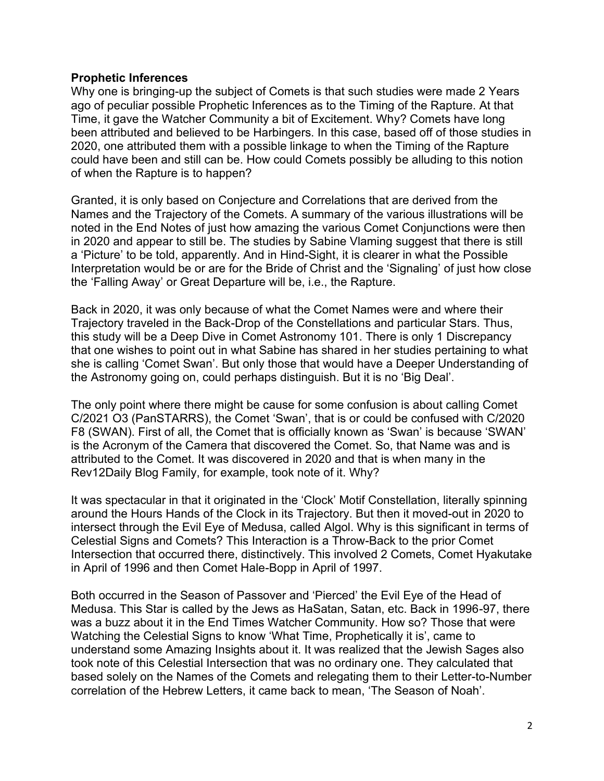#### **Prophetic Inferences**

Why one is bringing-up the subject of Comets is that such studies were made 2 Years ago of peculiar possible Prophetic Inferences as to the Timing of the Rapture. At that Time, it gave the Watcher Community a bit of Excitement. Why? Comets have long been attributed and believed to be Harbingers. In this case, based off of those studies in 2020, one attributed them with a possible linkage to when the Timing of the Rapture could have been and still can be. How could Comets possibly be alluding to this notion of when the Rapture is to happen?

Granted, it is only based on Conjecture and Correlations that are derived from the Names and the Trajectory of the Comets. A summary of the various illustrations will be noted in the End Notes of just how amazing the various Comet Conjunctions were then in 2020 and appear to still be. The studies by Sabine Vlaming suggest that there is still a 'Picture' to be told, apparently. And in Hind-Sight, it is clearer in what the Possible Interpretation would be or are for the Bride of Christ and the 'Signaling' of just how close the 'Falling Away' or Great Departure will be, i.e., the Rapture.

Back in 2020, it was only because of what the Comet Names were and where their Trajectory traveled in the Back-Drop of the Constellations and particular Stars. Thus, this study will be a Deep Dive in Comet Astronomy 101. There is only 1 Discrepancy that one wishes to point out in what Sabine has shared in her studies pertaining to what she is calling 'Comet Swan'. But only those that would have a Deeper Understanding of the Astronomy going on, could perhaps distinguish. But it is no 'Big Deal'.

The only point where there might be cause for some confusion is about calling Comet C/2021 O3 (PanSTARRS), the Comet 'Swan', that is or could be confused with C/2020 F8 (SWAN). First of all, the Comet that is officially known as 'Swan' is because 'SWAN' is the Acronym of the Camera that discovered the Comet. So, that Name was and is attributed to the Comet. It was discovered in 2020 and that is when many in the Rev12Daily Blog Family, for example, took note of it. Why?

It was spectacular in that it originated in the 'Clock' Motif Constellation, literally spinning around the Hours Hands of the Clock in its Trajectory. But then it moved-out in 2020 to intersect through the Evil Eye of Medusa, called Algol. Why is this significant in terms of Celestial Signs and Comets? This Interaction is a Throw-Back to the prior Comet Intersection that occurred there, distinctively. This involved 2 Comets, Comet Hyakutake in April of 1996 and then Comet Hale-Bopp in April of 1997.

Both occurred in the Season of Passover and 'Pierced' the Evil Eye of the Head of Medusa. This Star is called by the Jews as HaSatan, Satan, etc. Back in 1996-97, there was a buzz about it in the End Times Watcher Community. How so? Those that were Watching the Celestial Signs to know 'What Time, Prophetically it is', came to understand some Amazing Insights about it. It was realized that the Jewish Sages also took note of this Celestial Intersection that was no ordinary one. They calculated that based solely on the Names of the Comets and relegating them to their Letter-to-Number correlation of the Hebrew Letters, it came back to mean, 'The Season of Noah'.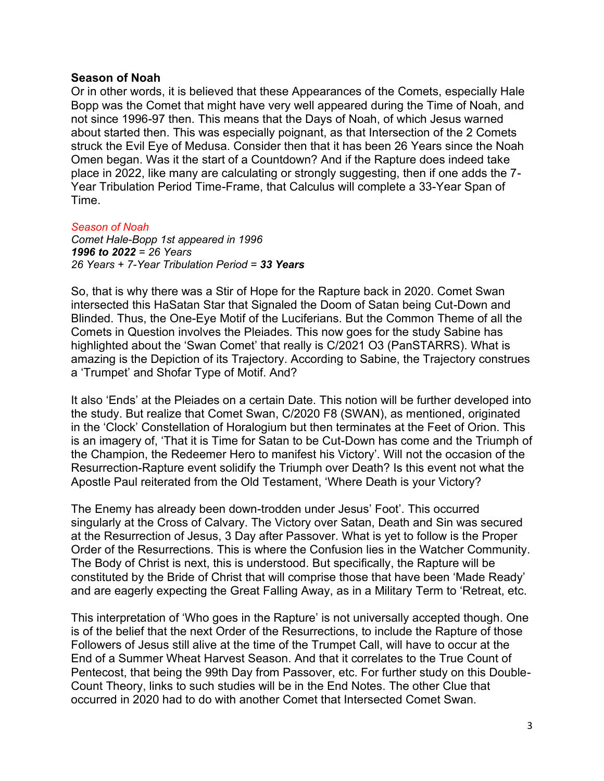#### **Season of Noah**

Or in other words, it is believed that these Appearances of the Comets, especially Hale Bopp was the Comet that might have very well appeared during the Time of Noah, and not since 1996-97 then. This means that the Days of Noah, of which Jesus warned about started then. This was especially poignant, as that Intersection of the 2 Comets struck the Evil Eye of Medusa. Consider then that it has been 26 Years since the Noah Omen began. Was it the start of a Countdown? And if the Rapture does indeed take place in 2022, like many are calculating or strongly suggesting, then if one adds the 7- Year Tribulation Period Time-Frame, that Calculus will complete a 33-Year Span of Time.

## *Season of Noah*

*Comet Hale-Bopp 1st appeared in 1996 1996 to 2022 = 26 Years 26 Years + 7-Year Tribulation Period = 33 Years*

So, that is why there was a Stir of Hope for the Rapture back in 2020. Comet Swan intersected this HaSatan Star that Signaled the Doom of Satan being Cut-Down and Blinded. Thus, the One-Eye Motif of the Luciferians. But the Common Theme of all the Comets in Question involves the Pleiades. This now goes for the study Sabine has highlighted about the 'Swan Comet' that really is C/2021 O3 (PanSTARRS). What is amazing is the Depiction of its Trajectory. According to Sabine, the Trajectory construes a 'Trumpet' and Shofar Type of Motif. And?

It also 'Ends' at the Pleiades on a certain Date. This notion will be further developed into the study. But realize that Comet Swan, C/2020 F8 (SWAN), as mentioned, originated in the 'Clock' Constellation of Horalogium but then terminates at the Feet of Orion. This is an imagery of, 'That it is Time for Satan to be Cut-Down has come and the Triumph of the Champion, the Redeemer Hero to manifest his Victory'. Will not the occasion of the Resurrection-Rapture event solidify the Triumph over Death? Is this event not what the Apostle Paul reiterated from the Old Testament, 'Where Death is your Victory?

The Enemy has already been down-trodden under Jesus' Foot'. This occurred singularly at the Cross of Calvary. The Victory over Satan, Death and Sin was secured at the Resurrection of Jesus, 3 Day after Passover. What is yet to follow is the Proper Order of the Resurrections. This is where the Confusion lies in the Watcher Community. The Body of Christ is next, this is understood. But specifically, the Rapture will be constituted by the Bride of Christ that will comprise those that have been 'Made Ready' and are eagerly expecting the Great Falling Away, as in a Military Term to 'Retreat, etc.

This interpretation of 'Who goes in the Rapture' is not universally accepted though. One is of the belief that the next Order of the Resurrections, to include the Rapture of those Followers of Jesus still alive at the time of the Trumpet Call, will have to occur at the End of a Summer Wheat Harvest Season. And that it correlates to the True Count of Pentecost, that being the 99th Day from Passover, etc. For further study on this Double-Count Theory, links to such studies will be in the End Notes. The other Clue that occurred in 2020 had to do with another Comet that Intersected Comet Swan.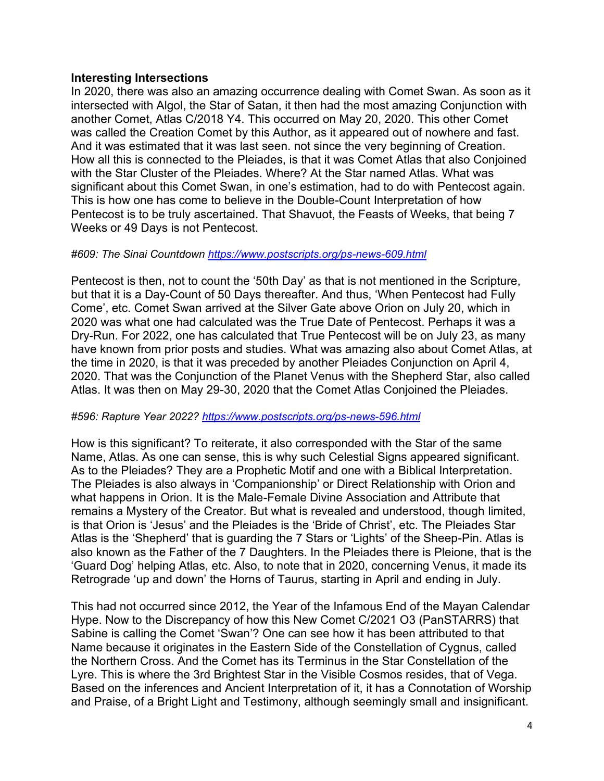#### **Interesting Intersections**

In 2020, there was also an amazing occurrence dealing with Comet Swan. As soon as it intersected with Algol, the Star of Satan, it then had the most amazing Conjunction with another Comet, Atlas C/2018 Y4. This occurred on May 20, 2020. This other Comet was called the Creation Comet by this Author, as it appeared out of nowhere and fast. And it was estimated that it was last seen. not since the very beginning of Creation. How all this is connected to the Pleiades, is that it was Comet Atlas that also Conjoined with the Star Cluster of the Pleiades. Where? At the Star named Atlas. What was significant about this Comet Swan, in one's estimation, had to do with Pentecost again. This is how one has come to believe in the Double-Count Interpretation of how Pentecost is to be truly ascertained. That Shavuot, the Feasts of Weeks, that being 7 Weeks or 49 Days is not Pentecost.

#### *#609: The Sinai Countdown<https://www.postscripts.org/ps-news-609.html>*

Pentecost is then, not to count the '50th Day' as that is not mentioned in the Scripture, but that it is a Day-Count of 50 Days thereafter. And thus, 'When Pentecost had Fully Come', etc. Comet Swan arrived at the Silver Gate above Orion on July 20, which in 2020 was what one had calculated was the True Date of Pentecost. Perhaps it was a Dry-Run. For 2022, one has calculated that True Pentecost will be on July 23, as many have known from prior posts and studies. What was amazing also about Comet Atlas, at the time in 2020, is that it was preceded by another Pleiades Conjunction on April 4, 2020. That was the Conjunction of the Planet Venus with the Shepherd Star, also called Atlas. It was then on May 29-30, 2020 that the Comet Atlas Conjoined the Pleiades.

#### *#596: Rapture Year 2022?<https://www.postscripts.org/ps-news-596.html>*

How is this significant? To reiterate, it also corresponded with the Star of the same Name, Atlas. As one can sense, this is why such Celestial Signs appeared significant. As to the Pleiades? They are a Prophetic Motif and one with a Biblical Interpretation. The Pleiades is also always in 'Companionship' or Direct Relationship with Orion and what happens in Orion. It is the Male-Female Divine Association and Attribute that remains a Mystery of the Creator. But what is revealed and understood, though limited, is that Orion is 'Jesus' and the Pleiades is the 'Bride of Christ', etc. The Pleiades Star Atlas is the 'Shepherd' that is guarding the 7 Stars or 'Lights' of the Sheep-Pin. Atlas is also known as the Father of the 7 Daughters. In the Pleiades there is Pleione, that is the 'Guard Dog' helping Atlas, etc. Also, to note that in 2020, concerning Venus, it made its Retrograde 'up and down' the Horns of Taurus, starting in April and ending in July.

This had not occurred since 2012, the Year of the Infamous End of the Mayan Calendar Hype. Now to the Discrepancy of how this New Comet C/2021 O3 (PanSTARRS) that Sabine is calling the Comet 'Swan'? One can see how it has been attributed to that Name because it originates in the Eastern Side of the Constellation of Cygnus, called the Northern Cross. And the Comet has its Terminus in the Star Constellation of the Lyre. This is where the 3rd Brightest Star in the Visible Cosmos resides, that of Vega. Based on the inferences and Ancient Interpretation of it, it has a Connotation of Worship and Praise, of a Bright Light and Testimony, although seemingly small and insignificant.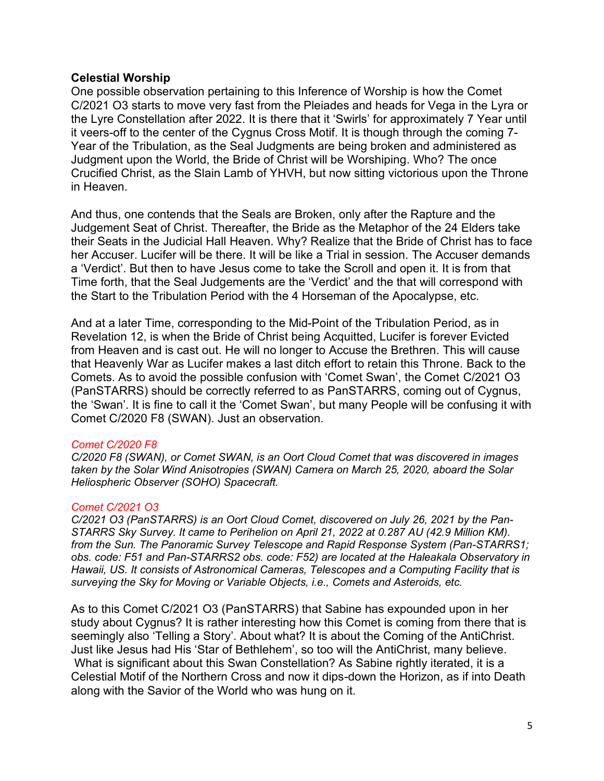#### **Celestial Worship**

One possible observation pertaining to this Inference of Worship is how the Comet C/2021 O3 starts to move very fast from the Pleiades and heads for Vega in the Lyra or the Lyre Constellation after 2022. It is there that it 'Swirls' for approximately 7 Year until it veers-off to the center of the Cygnus Cross Motif. It is though through the coming 7- Year of the Tribulation, as the Seal Judgments are being broken and administered as Judgment upon the World, the Bride of Christ will be Worshiping. Who? The once Crucified Christ, as the Slain Lamb of YHVH, but now sitting victorious upon the Throne in Heaven.

And thus, one contends that the Seals are Broken, only after the Rapture and the Judgement Seat of Christ. Thereafter, the Bride as the Metaphor of the 24 Elders take their Seats in the Judicial Hall Heaven. Why? Realize that the Bride of Christ has to face her Accuser. Lucifer will be there. It will be like a Trial in session. The Accuser demands a 'Verdict'. But then to have Jesus come to take the Scroll and open it. It is from that Time forth, that the Seal Judgements are the 'Verdict' and the that will correspond with the Start to the Tribulation Period with the 4 Horseman of the Apocalypse, etc.

And at a later Time, corresponding to the Mid-Point of the Tribulation Period, as in Revelation 12, is when the Bride of Christ being Acquitted, Lucifer is forever Evicted from Heaven and is cast out. He will no longer to Accuse the Brethren. This will cause that Heavenly War as Lucifer makes a last ditch effort to retain this Throne. Back to the Comets. As to avoid the possible confusion with 'Comet Swan', the Comet C/2021 O3 (PanSTARRS) should be correctly referred to as PanSTARRS, coming out of Cygnus, the 'Swan'. It is fine to call it the 'Comet Swan', but many People will be confusing it with Comet C/2020 F8 (SWAN). Just an observation.

#### *Comet C/2020 F8*

*C/2020 F8 (SWAN), or Comet SWAN, is an Oort Cloud Comet that was discovered in images taken by the Solar Wind Anisotropies (SWAN) Camera on March 25, 2020, aboard the Solar Heliospheric Observer (SOHO) Spacecraft.* 

#### *Comet C/2021 O3*

*C/2021 O3 (PanSTARRS) is an Oort Cloud Comet, discovered on July 26, 2021 by the Pan-STARRS Sky Survey. It came to Perihelion on April 21, 2022 at 0.287 AU (42.9 Million KM). from the Sun. The Panoramic Survey Telescope and Rapid Response System (Pan-STARRS1; obs. code: F51 and Pan-STARRS2 obs. code: F52) are located at the Haleakala Observatory in Hawaii, US. It consists of Astronomical Cameras, Telescopes and a Computing Facility that is surveying the Sky for Moving or Variable Objects, i.e., Comets and Asteroids, etc.*

As to this Comet C/2021 O3 (PanSTARRS) that Sabine has expounded upon in her study about Cygnus? It is rather interesting how this Comet is coming from there that is seemingly also 'Telling a Story'. About what? It is about the Coming of the AntiChrist. Just like Jesus had His 'Star of Bethlehem', so too will the AntiChrist, many believe. What is significant about this Swan Constellation? As Sabine rightly iterated, it is a Celestial Motif of the Northern Cross and now it dips-down the Horizon, as if into Death along with the Savior of the World who was hung on it.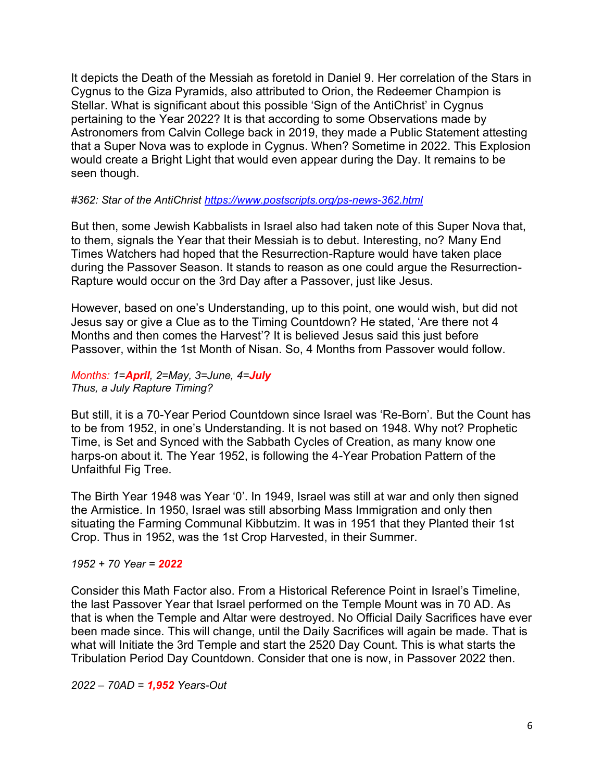It depicts the Death of the Messiah as foretold in Daniel 9. Her correlation of the Stars in Cygnus to the Giza Pyramids, also attributed to Orion, the Redeemer Champion is Stellar. What is significant about this possible 'Sign of the AntiChrist' in Cygnus pertaining to the Year 2022? It is that according to some Observations made by Astronomers from Calvin College back in 2019, they made a Public Statement attesting that a Super Nova was to explode in Cygnus. When? Sometime in 2022. This Explosion would create a Bright Light that would even appear during the Day. It remains to be seen though.

#### *#362: Star of the AntiChrist<https://www.postscripts.org/ps-news-362.html>*

But then, some Jewish Kabbalists in Israel also had taken note of this Super Nova that, to them, signals the Year that their Messiah is to debut. Interesting, no? Many End Times Watchers had hoped that the Resurrection-Rapture would have taken place during the Passover Season. It stands to reason as one could argue the Resurrection-Rapture would occur on the 3rd Day after a Passover, just like Jesus.

However, based on one's Understanding, up to this point, one would wish, but did not Jesus say or give a Clue as to the Timing Countdown? He stated, 'Are there not 4 Months and then comes the Harvest'? It is believed Jesus said this just before Passover, within the 1st Month of Nisan. So, 4 Months from Passover would follow.

## *Months: 1=April, 2=May, 3=June, 4=July Thus, a July Rapture Timing?*

But still, it is a 70-Year Period Countdown since Israel was 'Re-Born'. But the Count has to be from 1952, in one's Understanding. It is not based on 1948. Why not? Prophetic Time, is Set and Synced with the Sabbath Cycles of Creation, as many know one harps-on about it. The Year 1952, is following the 4-Year Probation Pattern of the Unfaithful Fig Tree.

The Birth Year 1948 was Year '0'. In 1949, Israel was still at war and only then signed the Armistice. In 1950, Israel was still absorbing Mass Immigration and only then situating the Farming Communal Kibbutzim. It was in 1951 that they Planted their 1st Crop. Thus in 1952, was the 1st Crop Harvested, in their Summer.

## *1952 + 70 Year = 2022*

Consider this Math Factor also. From a Historical Reference Point in Israel's Timeline, the last Passover Year that Israel performed on the Temple Mount was in 70 AD. As that is when the Temple and Altar were destroyed. No Official Daily Sacrifices have ever been made since. This will change, until the Daily Sacrifices will again be made. That is what will Initiate the 3rd Temple and start the 2520 Day Count. This is what starts the Tribulation Period Day Countdown. Consider that one is now, in Passover 2022 then.

*2022 – 70AD = 1,952 Years-Out*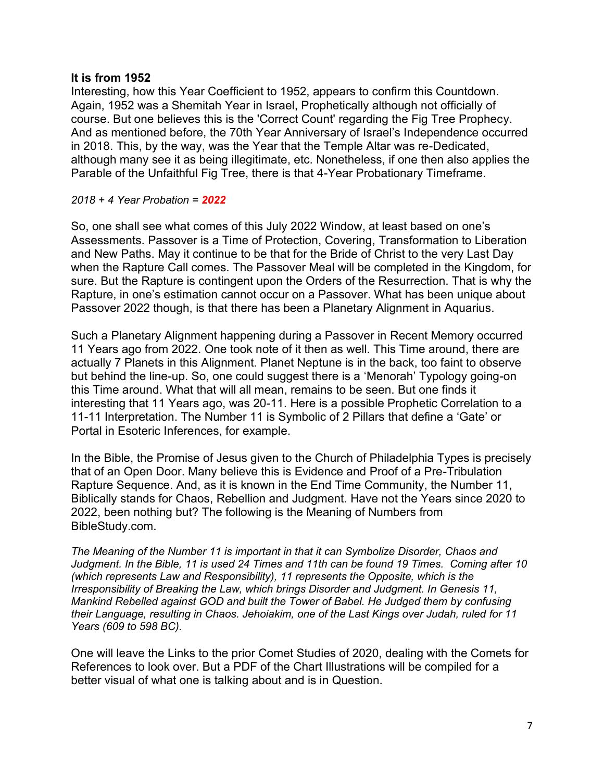#### **It is from 1952**

Interesting, how this Year Coefficient to 1952, appears to confirm this Countdown. Again, 1952 was a Shemitah Year in Israel, Prophetically although not officially of course. But one believes this is the 'Correct Count' regarding the Fig Tree Prophecy. And as mentioned before, the 70th Year Anniversary of Israel's Independence occurred in 2018. This, by the way, was the Year that the Temple Altar was re-Dedicated, although many see it as being illegitimate, etc. Nonetheless, if one then also applies the Parable of the Unfaithful Fig Tree, there is that 4-Year Probationary Timeframe.

#### *2018 + 4 Year Probation = 2022*

So, one shall see what comes of this July 2022 Window, at least based on one's Assessments. Passover is a Time of Protection, Covering, Transformation to Liberation and New Paths. May it continue to be that for the Bride of Christ to the very Last Day when the Rapture Call comes. The Passover Meal will be completed in the Kingdom, for sure. But the Rapture is contingent upon the Orders of the Resurrection. That is why the Rapture, in one's estimation cannot occur on a Passover. What has been unique about Passover 2022 though, is that there has been a Planetary Alignment in Aquarius.

Such a Planetary Alignment happening during a Passover in Recent Memory occurred 11 Years ago from 2022. One took note of it then as well. This Time around, there are actually 7 Planets in this Alignment. Planet Neptune is in the back, too faint to observe but behind the line-up. So, one could suggest there is a 'Menorah' Typology going-on this Time around. What that will all mean, remains to be seen. But one finds it interesting that 11 Years ago, was 20-11. Here is a possible Prophetic Correlation to a 11-11 Interpretation. The Number 11 is Symbolic of 2 Pillars that define a 'Gate' or Portal in Esoteric Inferences, for example.

In the Bible, the Promise of Jesus given to the Church of Philadelphia Types is precisely that of an Open Door. Many believe this is Evidence and Proof of a Pre-Tribulation Rapture Sequence. And, as it is known in the End Time Community, the Number 11, Biblically stands for Chaos, Rebellion and Judgment. Have not the Years since 2020 to 2022, been nothing but? The following is the Meaning of Numbers from BibleStudy.com.

*The Meaning of the Number 11 is important in that it can Symbolize Disorder, Chaos and Judgment. In the Bible, 11 is used 24 Times and 11th can be found 19 Times. Coming after 10 (which represents Law and Responsibility), 11 represents the Opposite, which is the Irresponsibility of Breaking the Law, which brings Disorder and Judgment. In Genesis 11, Mankind Rebelled against GOD and built the Tower of Babel. He Judged them by confusing their Language, resulting in Chaos. Jehoiakim, one of the Last Kings over Judah, ruled for 11 Years (609 to 598 BC).*

One will leave the Links to the prior Comet Studies of 2020, dealing with the Comets for References to look over. But a PDF of the Chart Illustrations will be compiled for a better visual of what one is talking about and is in Question.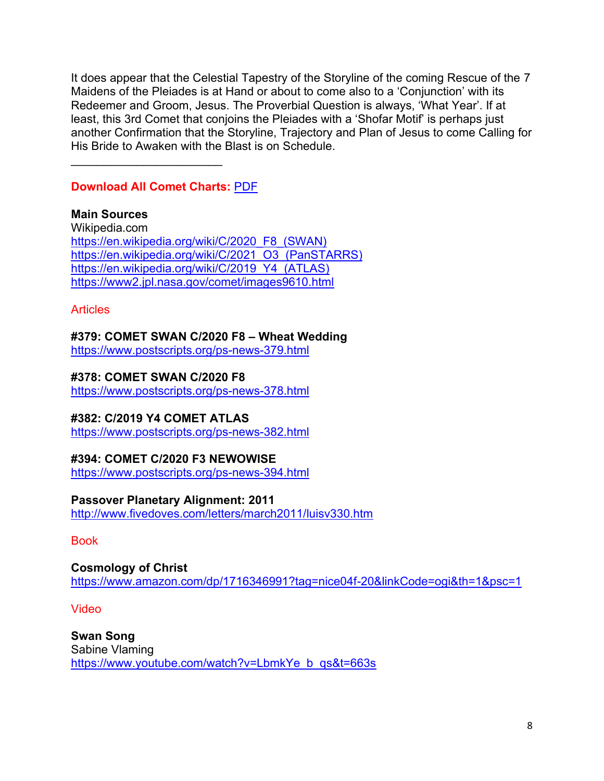It does appear that the Celestial Tapestry of the Storyline of the coming Rescue of the 7 Maidens of the Pleiades is at Hand or about to come also to a 'Conjunction' with its Redeemer and Groom, Jesus. The Proverbial Question is always, 'What Year'. If at least, this 3rd Comet that conjoins the Pleiades with a 'Shofar Motif' is perhaps just another Confirmation that the Storyline, Trajectory and Plan of Jesus to come Calling for His Bride to Awaken with the Blast is on Schedule.

**Download All Comet Charts:** [PDF](https://nebula.wsimg.com/9978d18263a311effd181e5dd24a1b88?AccessKeyId=D40106E1331C24ABD7C3&disposition=0&alloworigin=1)

 $\mathcal{L}_\text{max}$  , where  $\mathcal{L}_\text{max}$  , we have the set of the set of the set of the set of the set of the set of the set of the set of the set of the set of the set of the set of the set of the set of the set of the set of

**Main Sources** Wikipedia.com [https://en.wikipedia.org/wiki/C/2020\\_F8\\_\(SWAN\)](https://en.wikipedia.org/wiki/C/2020_F8_(SWAN)) [https://en.wikipedia.org/wiki/C/2021\\_O3\\_\(PanSTARRS\)](https://en.wikipedia.org/wiki/C/2021_O3_(PanSTARRS)) [https://en.wikipedia.org/wiki/C/2019\\_Y4\\_\(ATLAS\)](https://en.wikipedia.org/wiki/C/2019_Y4_(ATLAS)) <https://www2.jpl.nasa.gov/comet/images9610.html>

Articles

**#379: COMET SWAN C/2020 F8 – Wheat Wedding**

<https://www.postscripts.org/ps-news-379.html>

**#378: COMET SWAN C/2020 F8**

<https://www.postscripts.org/ps-news-378.html>

# **#382: C/2019 Y4 COMET ATLAS**

<https://www.postscripts.org/ps-news-382.html>

# **#394: COMET C/2020 F3 NEWOWISE**

<https://www.postscripts.org/ps-news-394.html>

# **Passover Planetary Alignment: 2011**

<http://www.fivedoves.com/letters/march2011/luisv330.htm>

Book

**Cosmology of Christ** <https://www.amazon.com/dp/1716346991?tag=nice04f-20&linkCode=ogi&th=1&psc=1>

Video

**Swan Song** Sabine Vlaming [https://www.youtube.com/watch?v=LbmkYe\\_b\\_qs&t=663s](https://www.youtube.com/watch?v=LbmkYe_b_qs&t=663s)